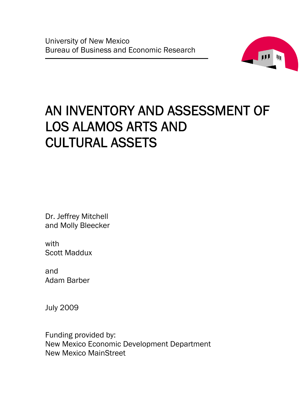

# AN INVENTORY AND ASSESSMENT OF LOS ALAMOS ARTS AND CULTURAL ASSETS

Dr. Jeffrey Mitchell and Molly Bleecker

with Scott Maddux

and Adam Barber

July 2009

Funding provided by: New Mexico Economic Development Department New Mexico MainStreet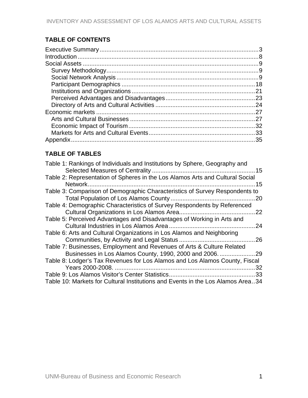# **TABLE OF CONTENTS**

# **TABLE OF TABLES**

| Table 1: Rankings of Individuals and Institutions by Sphere, Geography and      |  |
|---------------------------------------------------------------------------------|--|
| Table 2: Representation of Spheres in the Los Alamos Arts and Cultural Social   |  |
| 15                                                                              |  |
| Table 3: Comparison of Demographic Characteristics of Survey Respondents to     |  |
|                                                                                 |  |
| Table 4: Demographic Characteristics of Survey Respondents by Referenced        |  |
| .22                                                                             |  |
| Table 5: Perceived Advantages and Disadvantages of Working in Arts and          |  |
| .24                                                                             |  |
| Table 6: Arts and Cultural Organizations in Los Alamos and Neighboring          |  |
|                                                                                 |  |
| Table 7: Businesses, Employment and Revenues of Arts & Culture Related          |  |
|                                                                                 |  |
| Table 8: Lodger's Tax Revenues for Los Alamos and Los Alamos County, Fiscal     |  |
| 32                                                                              |  |
|                                                                                 |  |
| Table 10: Markets for Cultural Institutions and Events in the Los Alamos Area34 |  |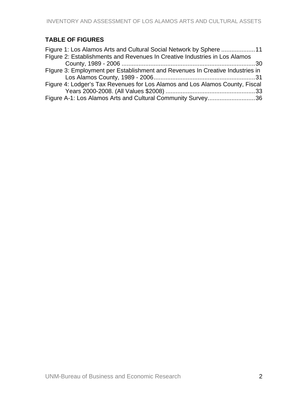# **TABLE OF FIGURES**

| Figure 1: Los Alamos Arts and Cultural Social Network by Sphere 11            |  |
|-------------------------------------------------------------------------------|--|
| Figure 2: Establishments and Revenues In Creative Industries in Los Alamos    |  |
|                                                                               |  |
| Figure 3: Employment per Establishment and Revenues In Creative Industries in |  |
|                                                                               |  |
| Figure 4: Lodger's Tax Revenues for Los Alamos and Los Alamos County, Fiscal  |  |
|                                                                               |  |
| Figure A-1: Los Alamos Arts and Cultural Community Survey36                   |  |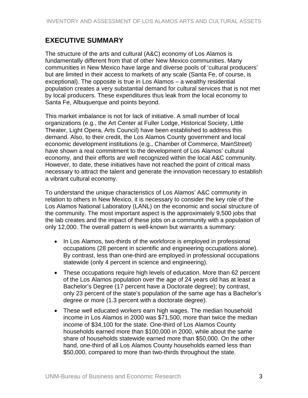# <span id="page-3-0"></span>**EXECUTIVE SUMMARY**

The structure of the arts and cultural (A&C) economy of Los Alamos is fundamentally different from that of other New Mexico communities. Many communities in New Mexico have large and diverse pools of 'cultural producers' but are limited in their access to markets of any scale (Santa Fe, of course, is exceptional). The opposite is true in Los Alamos – a wealthy residential population creates a very substantial demand for cultural services that is not met by local producers. These expenditures thus leak from the local economy to Santa Fe, Albuquerque and points beyond.

This market imbalance is not for lack of initiative. A small number of local organizations (e.g., the Art Center at Fuller Lodge, Historical Society, Little Theater, Light Opera, Arts Council) have been established to address this demand. Also, to their credit, the Los Alamos County government and local economic development institutions (e.g., Chamber of Commerce, MainStreet) have shown a real commitment to the development of Los Alamos' cultural economy, and their efforts are well recognized within the local A&C community. However, to date, these initiatives have not reached the point of critical mass necessary to attract the talent and generate the innovation necessary to establish a vibrant cultural economy.

To understand the unique characteristics of Los Alamos' A&C community in relation to others in New Mexico, it is necessary to consider the key role of the Los Alamos National Laboratory (LANL) on the economic and social structure of the community. The most important aspect is the approximately 9,500 jobs that the lab creates and the impact of these jobs on a community with a population of only 12,000. The overall pattern is well-known but warrants a summary:

- In Los Alamos, two-thirds of the workforce is employed in professional occupations (28 percent in scientific and engineering occupations alone). By contrast, less than one-third are employed in professional occupations statewide (only 4 percent in science and engineering).
- These occupations require high levels of education. More than 62 percent of the Los Alamos population over the age of 24 years old has at least a Bachelor's Degree (17 percent have a Doctorate degree); by contrast, only 23 percent of the state's population of the same age has a Bachelor's degree or more (1.3 percent with a doctorate degree).
- These well educated workers earn high wages. The median household income in Los Alamos in 2000 was \$71,500, more than twice the median income of \$34,100 for the state. One-third of Los Alamos County households earned more than \$100,000 in 2000, while about the same share of households statewide earned more than \$50,000. On the other hand, one-third of all Los Alamos County households earned less than \$50,000, compared to more than two-thirds throughout the state.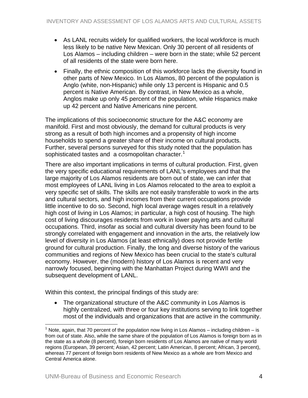- As LANL recruits widely for qualified workers, the local workforce is much less likely to be native New Mexican. Only 30 percent of all residents of Los Alamos – including children – were born in the state; while 52 percent of all residents of the state were born here.
- Finally, the ethnic composition of this workforce lacks the diversity found in other parts of New Mexico. In Los Alamos, 80 percent of the population is Anglo (white, non-Hispanic) while only 13 percent is Hispanic and 0.5 percent is Native American. By contrast, in New Mexico as a whole, Anglos make up only 45 percent of the population, while Hispanics make up 42 percent and Native Americans nine percent.

The implications of this socioeconomic structure for the A&C economy are manifold. First and most obviously, the demand for cultural products is very strong as a result of both high incomes and a propensity of high income households to spend a greater share of their income on cultural products. Further, several persons surveyed for this study noted that the population has sophisticated tastes and a cosmopolitan character.<sup>[1](#page-4-0)</sup>

There are also important implications in terms of cultural production. First, given the very specific educational requirements of LANL's employees and that the large majority of Los Alamos residents are born out of state, we can infer that most employees of LANL living in Los Alamos relocated to the area to exploit a very specific set of skills. The skills are not easily transferable to work in the arts and cultural sectors, and high incomes from their current occupations provide little incentive to do so. Second, high local average wages result in a relatively high cost of living in Los Alamos; in particular, a high cost of housing. The high cost of living discourages residents from work in lower paying arts and cultural occupations. Third, insofar as social and cultural diversity has been found to be strongly correlated with engagement and innovation in the arts, the relatively low level of diversity in Los Alamos (at least ethnically) does not provide fertile ground for cultural production. Finally, the long and diverse history of the various communities and regions of New Mexico has been crucial to the state's cultural economy. However, the (modern) history of Los Alamos is recent and very narrowly focused, beginning with the Manhattan Project during WWII and the subsequent development of LANL.

Within this context, the principal findings of this study are:

• The organizational structure of the A&C community in Los Alamos is highly centralized, with three or four key institutions serving to link together most of the individuals and organizations that are active in the community.

 $\overline{a}$ 

<span id="page-4-0"></span><sup>&</sup>lt;sup>1</sup> Note, again, that 70 percent of the population now living in Los Alamos – including children – is from out of state. Also, while the same share of the population of Los Alamos is foreign born as in the state as a whole (8 percent), foreign born residents of Los Alamos are native of many world regions (European, 39 percent; Asian, 42 percent; Latin American, 8 percent; African, 3 percent), whereas 77 percent of foreign born residents of New Mexico as a whole are from Mexico and Central America alone.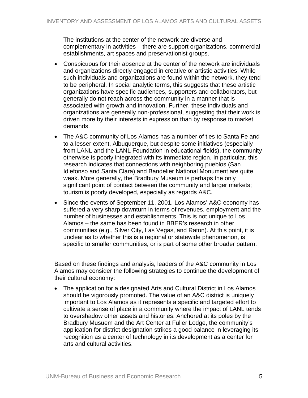The institutions at the center of the network are diverse and complementary in activities – there are support organizations, commercial establishments, art spaces and preservationist groups.

- Conspicuous for their absence at the center of the network are individuals and organizations directly engaged in creative or artistic activities. While such individuals and organizations are found within the network, they tend to be peripheral. In social analytic terms, this suggests that these artistic organizations have specific audiences, supporters and collaborators, but generally do not reach across the community in a manner that is associated with growth and innovation. Further, these individuals and organizations are generally non-professional, suggesting that their work is driven more by their interests in expression than by response to market demands.
- The A&C community of Los Alamos has a number of ties to Santa Fe and to a lesser extent, Albuquerque, but despite some initiatives (especially from LANL and the LANL Foundation in educational fields), the community otherwise is poorly integrated with its immediate region. In particular, this research indicates that connections with neighboring pueblos (San Idlefonso and Santa Clara) and Bandelier National Monument are quite weak. More generally, the Bradbury Museum is perhaps the only significant point of contact between the community and larger markets; tourism is poorly developed, especially as regards A&C.
- Since the events of September 11, 2001, Los Alamos' A&C economy has suffered a very sharp downturn in terms of revenues, employment and the number of businesses and establishments. This is not unique to Los Alamos – the same has been found in BBER's research in other communities (e.g., Silver City, Las Vegas, and Raton). At this point, it is unclear as to whether this is a regional or statewide phenomenon, is specific to smaller communities, or is part of some other broader pattern.

Based on these findings and analysis, leaders of the A&C community in Los Alamos may consider the following strategies to continue the development of their cultural economy:

• The application for a designated Arts and Cultural District in Los Alamos should be vigorously promoted. The value of an A&C district is uniquely important to Los Alamos as it represents a specific and targeted effort to cultivate a sense of place in a community where the impact of LANL tends to overshadow other assets and histories. Anchored at its poles by the Bradbury Musuem and the Art Center at Fuller Lodge, the community's application for district designation strikes a good balance in leveraging its recognition as a center of technology in its development as a center for arts and cultural activities.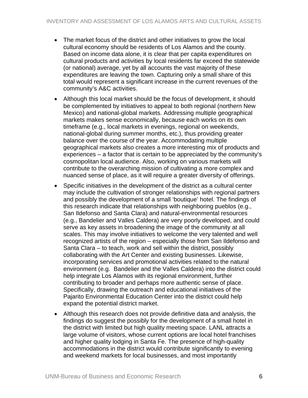- The market focus of the district and other initiatives to grow the local cultural economy should be residents of Los Alamos and the county. Based on income data alone, it is clear that per capita expenditures on cultural products and activities by local residents far exceed the statewide (or national) average, yet by all accounts the vast majority of these expenditures are leaving the town. Capturing only a small share of this total would represent a significant increase in the current revenues of the community's A&C activities.
- Although this local market should be the focus of development, it should be complemented by initiatives to appeal to both regional (northern New Mexico) and national-global markets. Addressing multiple geographical markets makes sense economically, because each works on its own timeframe (e.g., local markets in evenings, regional on weekends, national-global during summer months, etc.), thus providing greater balance over the course of the year. Accommodating multiple geographical markets also creates a more interesting mix of products and experiences – a factor that is certain to be appreciated by the community's cosmopolitan local audience. Also, working on various markets will contribute to the overarching mission of cultivating a more complex and nuanced sense of place, as it will require a greater diversity of offerings.
- Specific initiatives in the development of the district as a cultural center may include the cultivation of stronger relationships with regional partners and possibly the development of a small 'boutique' hotel. The findings of this research indicate that relationships with neighboring pueblos (e.g., San Ildefonso and Santa Clara) and natural-environmental resources (e.g., Bandelier and Valles Caldera) are very poorly developed, and could serve as key assets in broadening the image of the community at all scales. This may involve initiatives to welcome the very talented and well recognized artists of the region – especially those from San Ildefonso and Santa Clara – to teach, work and sell within the district, possibly collaborating with the Art Center and existing businesses. Likewise, incorporating services and promotional activities related to the natural environment (e.g. Bandelier and the Valles Caldera) into the district could help integrate Los Alamos with its regional environment, further contributing to broader and perhaps more authentic sense of place. Specifically, drawing the outreach and educational initiatives of the Pajarito Environmental Education Center into the district could help expand the potential district market.
- Although this research does not provide definitive data and analysis, the findings do suggest the possibly for the development of a small hotel in the district with limited but high quality meeting space. LANL attracts a large volume of visitors, whose current options are local hotel franchises and higher quality lodging in Santa Fe. The presence of high-quality accommodations in the district would contribute significantly to evening and weekend markets for local businesses, and most importantly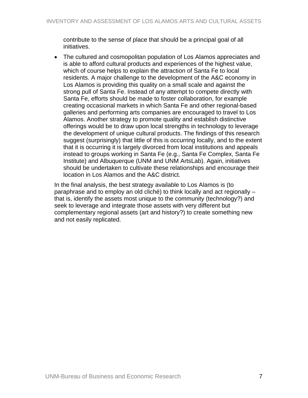contribute to the sense of place that should be a principal goal of all initiatives.

• The cultured and cosmopolitan population of Los Alamos appreciates and is able to afford cultural products and experiences of the highest value, which of course helps to explain the attraction of Santa Fe to local residents. A major challenge to the development of the A&C economy in Los Alamos is providing this quality on a small scale and against the strong pull of Santa Fe. Instead of any attempt to compete directly with Santa Fe, efforts should be made to foster collaboration, for example creating occasional markets in which Santa Fe and other regional-based galleries and performing arts companies are encouraged to travel to Los Alamos. Another strategy to promote quality and establish distinctive offerings would be to draw upon local strengths in technology to leverage the development of unique cultural products. The findings of this research suggest (surprisingly) that little of this is occurring locally, and to the extent that it is occurring it is largely divorced from local institutions and appeals instead to groups working in Santa Fe (e.g., Santa Fe Complex, Santa Fe Institute) and Albuquerque (UNM and UNM ArtsLab). Again, initiatives should be undertaken to cultivate these relationships and encourage their location in Los Alamos and the A&C district.

In the final analysis, the best strategy available to Los Alamos is (to paraphrase and to employ an old cliché) to think locally and act regionally – that is, identify the assets most unique to the community (technology?) and seek to leverage and integrate those assets with very different but complementary regional assets (art and history?) to create something new and not easily replicated.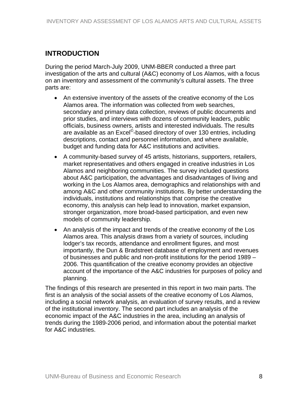# <span id="page-8-0"></span>**INTRODUCTION**

During the period March-July 2009, UNM-BBER conducted a three part investigation of the arts and cultural (A&C) economy of Los Alamos, with a focus on an inventory and assessment of the community's cultural assets. The three parts are:

- An extensive inventory of the assets of the creative economy of the Los Alamos area. The information was collected from web searches, secondary and primary data collection, reviews of public documents and prior studies, and interviews with dozens of community leaders, public officials, business owners, artists and interested individuals. The results are available as an Excel<sup>©</sup>-based directory of over 130 entries, including descriptions, contact and personnel information, and where available, budget and funding data for A&C institutions and activities.
- A community-based survey of 45 artists, historians, supporters, retailers, market representatives and others engaged in creative industries in Los Alamos and neighboring communities. The survey included questions about A&C participation, the advantages and disadvantages of living and working in the Los Alamos area, demographics and relationships with and among A&C and other community institutions. By better understanding the individuals, institutions and relationships that comprise the creative economy, this analysis can help lead to innovation, market expansion, stronger organization, more broad-based participation, and even new models of community leadership.
- An analysis of the impact and trends of the creative economy of the Los Alamos area. This analysis draws from a variety of sources, including lodger's tax records, attendance and enrollment figures, and most importantly, the Dun & Bradstreet database of employment and revenues of businesses and public and non-profit institutions for the period 1989 – 2006. This quantification of the creative economy provides an objective account of the importance of the A&C industries for purposes of policy and planning.

The findings of this research are presented in this report in two main parts. The first is an analysis of the social assets of the creative economy of Los Alamos, including a social network analysis, an evaluation of survey results, and a review of the institutional inventory. The second part includes an analysis of the economic impact of the A&C industries in the area, including an analysis of trends during the 1989-2006 period, and information about the potential market for A&C industries.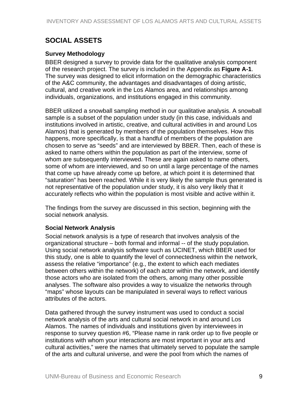# <span id="page-9-0"></span>**SOCIAL ASSETS**

# **Survey Methodology**

BBER designed a survey to provide data for the qualitative analysis component of the research project. The survey is included in the Appendix as **Figure A-1**. The survey was designed to elicit information on the demographic characteristics of the A&C community, the advantages and disadvantages of doing artistic, cultural, and creative work in the Los Alamos area, and relationships among individuals, organizations, and institutions engaged in this community.

BBER utilized a snowball sampling method in our qualitative analysis. A snowball sample is a subset of the population under study (in this case, individuals and institutions involved in artistic, creative, and cultural activities in and around Los Alamos) that is generated by members of the population themselves. How this happens, more specifically, is that a handful of members of the population are chosen to serve as "seeds" and are interviewed by BBER. Then, each of these is asked to name others within the population as part of the interview, some of whom are subsequently interviewed. These are again asked to name others, some of whom are interviewed, and so on until a large percentage of the names that come up have already come up before, at which point it is determined that "saturation" has been reached. While it is very likely the sample thus generated is not representative of the population under study, it is also very likely that it accurately reflects who within the population is most visible and active within it.

The findings from the survey are discussed in this section, beginning with the social network analysis.

# **Social Network Analysis**

Social network analysis is a type of research that involves analysis of the organizational structure – both formal and informal -- of the study population. Using social network analysis software such as UCINET, which BBER used for this study, one is able to quantify the level of connectedness within the network, assess the relative "importance" (e.g., the extent to which each mediates between others within the network) of each actor within the network, and identify those actors who are isolated from the others, among many other possible analyses. The software also provides a way to visualize the networks through "maps" whose layouts can be manipulated in several ways to reflect various attributes of the actors.

Data gathered through the survey instrument was used to conduct a social network analysis of the arts and cultural social network in and around Los Alamos. The names of individuals and institutions given by interviewees in response to survey question #6, "Please name in rank order up to five people or institutions with whom your interactions are most important in your arts and cultural activities," were the names that ultimately served to populate the sample of the arts and cultural universe, and were the pool from which the names of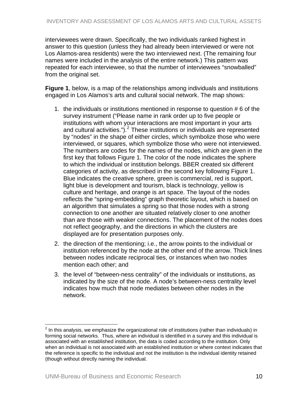<span id="page-10-0"></span>interviewees were drawn. Specifically, the two individuals ranked highest in answer to this question (unless they had already been interviewed or were not Los Alamos-area residents) were the two interviewed next. (The remaining four names were included in the analysis of the entire network.) This pattern was repeated for each interviewee, so that the number of interviewees "snowballed" from the original set.

**Figure 1**, below, is a map of the relationships among individuals and institutions engaged in Los Alamos's arts and cultural social network. The map shows:

- 1. the individuals or institutions mentioned in response to question # 6 of the survey instrument ("Please name in rank order up to five people or institutions with whom your interactions are most important in your arts and cultural activities.").<sup>[2](#page-10-0)</sup> These institutions or individuals are represented by "nodes" in the shape of either circles, which symbolize those who were interviewed, or squares, which symbolize those who were not interviewed. The numbers are codes for the names of the nodes, which are given in the first key that follows Figure 1. The color of the node indicates the sphere to which the individual or institution belongs. BBER created six different categories of activity, as described in the second key following Figure 1. Blue indicates the creative sphere, green is commercial, red is support, light blue is development and tourism, black is technology, yellow is culture and heritage, and orange is art space. The layout of the nodes reflects the "spring-embedding" graph theoretic layout, which is based on an algorithm that simulates a spring so that those nodes with a strong connection to one another are situated relatively closer to one another than are those with weaker connections. The placement of the nodes does not reflect geography, and the directions in which the clusters are displayed are for presentation purposes only.
- 2. the direction of the mentioning; i.e., the arrow points to the individual or institution referenced by the node at the other end of the arrow. Thick lines between nodes indicate reciprocal ties, or instances when two nodes mention each other; and
- 3. the level of "between-ness centrality" of the individuals or institutions, as indicated by the size of the node. A node's between-ness centrality level indicates how much that node mediates between other nodes in the network.

1

 $2$  In this analysis, we emphasize the organizational role of institutions (rather than individuals) in forming social networks. Thus, where an individual is identified in a survey and this individual is associated with an established institution, the data is coded according to the institution. Only when an individual is not associated with an established institution or where context indicates that the reference is specific to the individual and not the institution is the individual identity retained (though without directly naming the individual.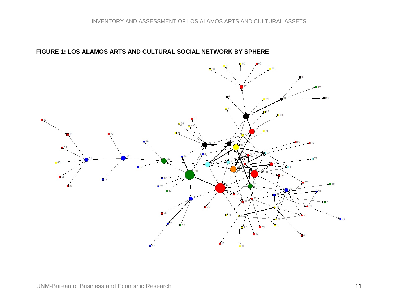<span id="page-11-0"></span>

# **FIGURE 1: LOS ALAMOS ARTS AND CULTURAL SOCIAL NETWORK BY SPHERE**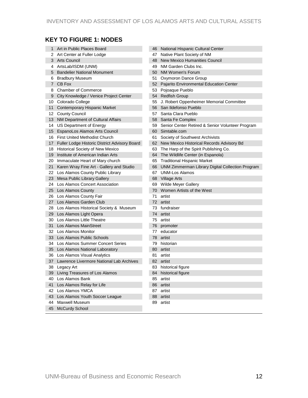# **KEY TO FIGURE 1: NODES**

| 1  | Art in Public Places Board                    |     | 46 National Hispanic Cultural Center             |
|----|-----------------------------------------------|-----|--------------------------------------------------|
| 2  | Art Center at Fuller Lodge                    | 47  | Native Plant Society of NM                       |
| 3  | <b>Arts Council</b>                           | 48  | New Mexico Humanities Council                    |
| 4  | ArtsLab/ISDM (UNM)                            | 49  | NM Garden Clubs Inc.                             |
| 5  | <b>Bandelier National Monument</b>            | 50  | NM Women's Forum                                 |
| 6  | <b>Bradbury Museum</b>                        | 51  | Oxymoron Dance Group                             |
|    | 7 CB Fox                                      | 52. | Pajarito Environmental Education Center          |
| 8  | <b>Chamber of Commerce</b>                    |     | 53 Pojoaque Pueblo                               |
| 9  | City Knowledge / Venice Project Center        |     | 54 Redfish Group                                 |
| 10 | Colorado College                              |     | 55 J. Robert Oppenheimer Memorial Committee      |
| 11 | Contemporary Hispanic Market                  | 56  | San Ildefonso Pueblo                             |
|    | 12 County Council                             | 57  | Santa Clara Pueblo                               |
|    | 13 NM Department of Cultural Affairs          | 58  | Santa Fe Complex                                 |
|    | 14 US Department of Energy                    | 59  | Senior Center Retired & Senior Volunteer Program |
| 15 | <b>EspanoLos Alamos Arts Council</b>          | 60  | Simtable.com                                     |
|    | 16 First United Methodist Church              | 61  | Society of Southwest Archivists                  |
| 17 | Fuller Lodge Historic District Advisory Board |     | 62 New Mexico Historical Records Advisory Bd     |
| 18 | <b>Historical Society of New Mexico</b>       | 63  | The Harp of the Spirit Publishing Co.            |
|    | 19 Institute of American Indian Arts          | 64  | The Wildlife Center (in Espanola)                |
| 20 | Immaculate Heart of Mary church               | 65  | <b>Traditional Hispanic Market</b>               |
| 21 | Karen Wray Fine Art - Gallery and Studio      | 66  | UNM Zimmerman Library Digital Collection Program |
| 22 | Los Alamos County Public Library              | 67  | <b>UNM-Los Alamos</b>                            |
| 23 | Mesa Public Library Gallery                   |     | 68 Village Arts                                  |
| 24 | Los Alamos Concert Association                | 69  | <b>Wilde Meyer Gallery</b>                       |
| 25 | Los Alamos County                             | 70  | Women Artists of the West                        |
| 26 | Los Alamos County Fair                        | 71  | artist                                           |
| 27 | Los Alamos Garden Club                        | 72  | artist                                           |
| 28 | Los Alamos Historical Society & Museum        | 73  | fundraiser                                       |
| 29 | Los Alamos Light Opera                        | 74  | artist                                           |
| 30 | Los Alamos Little Theatre                     | 75  | artist                                           |
| 31 | Los Alamos MainStreet                         | 76  | promoter                                         |
| 32 | Los Alamos Monitor                            | 77  | educator                                         |
| 33 | Los Alamos Public Schools                     | 78  | artist                                           |
| 34 | Los Alamos Summer Concert Series              | 79  | historian                                        |
|    | 35 Los Alamos National Laboratory             | 80  | artist                                           |
|    | 36 Los Alamos Visual Analytics                | 81  | artist                                           |
| 37 | Lawrence Livermore National Lab Archives      | 82  | artist                                           |
|    | 38 Legacy Art                                 | 83  | historical figure                                |
| 39 | Living Treasures of Los Alamos                |     | 84 historical figure                             |
| 40 | Los Alamos Bank                               | 85  | artist                                           |
| 41 | Los Alamos Relay for Life                     | 86  | artist                                           |
| 42 | Los Alamos YMCA                               | 87  | artist                                           |
| 43 | Los Alamos Youth Soccer League                | 88  | artist                                           |
| 44 | Maxwell Museum                                | 89  | artist                                           |
|    | 45 McCurdy School                             |     |                                                  |
|    |                                               |     |                                                  |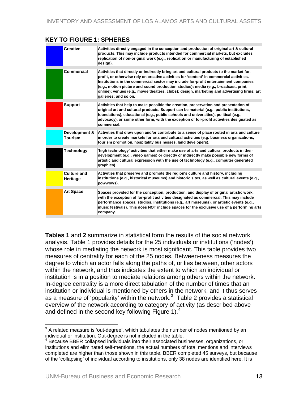# <span id="page-13-0"></span>**KEY TO FIGURE 1: SPHERES**

| <b>Creative</b>                 | Activities directly engaged in the conception and production of original art & cultural<br>products. This may include products intended for commercial markets, but excludes<br>replication of non-original work (e.g., replication or manufacturing of established<br>design).                                                                                                                                                                                                              |
|---------------------------------|----------------------------------------------------------------------------------------------------------------------------------------------------------------------------------------------------------------------------------------------------------------------------------------------------------------------------------------------------------------------------------------------------------------------------------------------------------------------------------------------|
| Commercial                      | Activities that directly or indirectly bring art and cultural products to the market for-<br>profit, or otherwise rely on creative activities for 'content' in commercial activities.<br>Institutions in the commercial sector may include for-profit entertainment companies<br>(e.g., motion picture and sound production studios); media (e.g., broadcast, print,<br>online); venues (e.g., movie theaters, clubs); design, marketing and advertising firms; art<br>galleries; and so on. |
| <b>Support</b>                  | Activities that help to make possible the creation, preservation and presentation of<br>original art and cultural products. Support can be material (e.g., public institutions,<br>foundations), educational (e.g., public schools and universities), political (e.g.,<br>advocacy), or some other form, with the exception of for-profit activities designated as<br>commercial.                                                                                                            |
| Development &<br><b>Tourism</b> | Activities that draw upon and/or contribute to a sense of place rooted in arts and culture<br>in order to create markets for arts and cultural activities (e.g. business organizations,<br>tourism promotion, hospitality businesses, land developers).                                                                                                                                                                                                                                      |
| Technology                      | 'high technology' activities that either make use of arts and cultural products in their<br>development (e.g., video games) or directly or indirectly make possible new forms of<br>artistic and cultural expression with the use of technology (e.g., computer generated<br>graphics).                                                                                                                                                                                                      |
| <b>Culture and</b><br>Heritage  | Activities that preserve and promote the region's culture and history, including<br>institutions (e.g., historical museums) and historic sites, as well as cultural events (e.g.,<br>powwows).                                                                                                                                                                                                                                                                                               |
| <b>Art Space</b>                | Spaces provided for the conception, production, and display of original artistic work,<br>with the exception of for-profit activities designated as commercial. This may include<br>performance spaces, studios, institutions (e.g., art museums), or artistic events (e.g.,<br>music festivals). This does NOT include spaces for the exclusive use of a performing arts<br>company.                                                                                                        |

**Tables 1** and **2** summarize in statistical form the results of the social network analysis. Table 1 provides details for the 25 individuals or institutions ('nodes') whose role in mediating the network is most significant. This table provides two measures of centrality for each of the 25 nodes. Between-ness measures the degree to which an actor falls along the paths of, or lies between, other actors within the network, and thus indicates the extent to which an individual or institution is in a position to mediate relations among others within the network. In-degree centrality is a more direct tabulation of the number of times that an institution or individual is mentioned by others in the network, and it thus serves as a measure of 'popularity' within the network.<sup>[3](#page-13-0)</sup> Table 2 provides a statistical overview of the network according to category of activity (as described above and defined in the second key following Figure 1). $4$ 

 $\overline{a}$  $3$  A related measure is 'out-degree', which tabulates the number of nodes mentioned by an individual or institution. Out-degree is not included in the table.

<sup>4</sup> Because BBER collapsed individuals into their associated businesses, organizations, or institutions and eliminated self-mentions, the actual numbers of total mentions and interviews completed are higher than those shown in this table. BBER completed 45 surveys, but because of the 'collapsing' of individual according to institutions, only 38 nodes are identified here. It is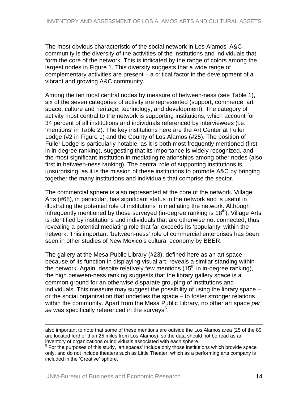<span id="page-14-0"></span>The most obvious characteristic of the social network in Los Alamos' A&C community is the diversity of the activities of the institutions and individuals that form the core of the network. This is indicated by the range of colors among the largest nodes in Figure 1. This diversity suggests that a wide range of complementary activities are present – a critical factor in the development of a vibrant and growing A&C community.

Among the ten most central nodes by measure of between-ness (see Table 1), six of the seven categories of activity are represented (support, commerce, art space, culture and heritage, technology, and development). The category of activity most central to the network is supporting institutions, which account for 34 percent of all institutions and individuals referenced by interviewees (i.e. 'mentions' in Table 2). The key institutions here are the Art Center at Fuller Lodge (#2 in Figure 1) and the County of Los Alamos (#25). The position of Fuller Lodge is particularly notable, as it is both most frequently mentioned (first in in-degree ranking), suggesting that its importance is widely recognized, and the most significant institution in mediating relationships among other nodes (also first in between-ness ranking). The central role of supporting institutions is unsurprising, as it is the mission of these institutions to promote A&C by bringing together the many institutions and individuals that comprise the sector.

The commercial sphere is also represented at the core of the network. Village Arts (#68), in particular, has significant status in the network and is useful in illustrating the potential role of institutions in mediating the network. Although infrequently mentioned by those surveyed (in-degree ranking is  $18<sup>th</sup>$ ), Village Arts is identified by institutions and individuals that are otherwise not connected, thus revealing a potential mediating role that far exceeds its 'popularity' within the network. This important 'between-ness' role of commercial enterprises has been seen in other studies of New Mexico's cultural economy by BBER.

The gallery at the Mesa Public Library (#23), defined here as an art space because of its function in displaying visual art, reveals a similar standing within the network. Again, despite relatively few mentions  $(15<sup>th</sup>$  in in-degree ranking), the high between-ness ranking suggests that the library gallery space is a common ground for an otherwise disparate grouping of institutions and individuals. This measure may suggest the possibility of using the library space – or the social organization that underlies the space – to foster stronger relations within the community. Apart from the Mesa Public Library, no other art space *per*  se was specifically referenced in the surveys<sup>[5](#page-14-0)</sup>.

 $\overline{a}$ 

also important to note that some of these mentions are outside the Los Alamos area (25 of the 89 are located further than 25 miles from Los Alamos), so the data should not be read as an inventory of organizations or individuals associated with each sphere.

 $5$  For the purposes of this study, 'art spaces' include only those institutions which provide space only, and do not include theaters such as Little Theater, which as a performing arts company is included in the 'Creative' sphere.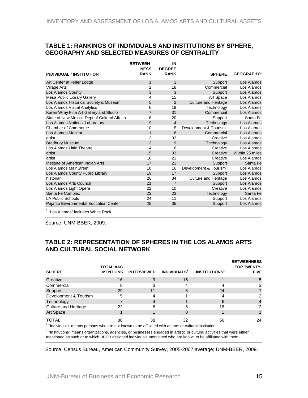#### <span id="page-15-0"></span>**TABLE 1: RANKINGS OF INDIVIDUALS AND INSTITUTIONS BY SPHERE, GEOGRAPHY AND SELECTED MEASURES OF CENTRALITY**

|                                              | <b>BETWEEN-</b>            | IN                           |                             |                               |
|----------------------------------------------|----------------------------|------------------------------|-----------------------------|-------------------------------|
| <b>INDIVIDUAL / INSTITUTION</b>              | <b>NESS</b><br><b>RANK</b> | <b>DEGREE</b><br><b>RANK</b> | <b>SPHERE</b>               | <b>GEOGRAPHY</b> <sup>1</sup> |
| Art Center at Fuller Lodge                   | $\mathbf{1}$               | $\mathbf{1}$                 | Support                     | Los Alamos                    |
| <b>Village Arts</b>                          | $\overline{2}$             | 18                           | Commercial                  | Los Alamos                    |
| Los Alamos County                            | 3                          | 3                            | Support                     | Los Alamos                    |
| Mesa Public Library Gallery                  | 4                          | 15                           | Art Space                   | Los Alamos                    |
| Los Alamos Historical Society & Museum       | 5                          | 2                            | <b>Culture and Heritage</b> | Los Alamos                    |
| Los Alamos Visual Analytics                  | 6                          | 19                           | Technology                  | Los Alamos                    |
| Karen Wray Fine Art Gallery and Studio       | $\overline{7}$             | 31                           | Commercial                  | Los Alamos                    |
| State of New Mexico Dept of Cultural Affairs | 8                          | 20                           | Support                     | Santa Fe                      |
| Los Alamos National Laboratory               | 9                          | $\overline{4}$               | Technology                  | Los Alamos                    |
| <b>Chamber of Commerce</b>                   | 10                         | 5                            | Development & Tourism       | Los Alamos                    |
| Los Alamos Monitor                           | 11                         | 8                            | Commercial                  | Los Alamos                    |
| artist                                       | 12                         | 32                           | Creative                    | Los Alamos                    |
| <b>Bradbury Museum</b>                       | 13                         | 9                            | Technology                  | Los Alamos                    |
| Los Alamos Little Theatre                    | 14                         | 6                            | Creative                    | Los Alamos                    |
| artist                                       | 15                         | 33                           | Creative                    | Within 25 miles               |
| artist                                       | 16                         | 21                           | Creative                    | Los Alamos                    |
| Institute of American Indian Arts            | 17                         | 22                           | Support                     | Santa Fe                      |
| Los Alamos MainStreet                        | 18                         | 16                           | Development & Tourism       | Los Alamos                    |
| Los Alamos County Public Library             | 19                         | 17                           | Support                     | Los Alamos                    |
| historian                                    | 20                         | 34                           | <b>Culture and Heritage</b> | Los Alamos                    |
| Los Alamos Arts Council                      | 21                         | $\overline{7}$               | Support                     | Los Alamos                    |
| Los Alamos Light Opera                       | 22                         | 10                           | Creative                    | Los Alamos                    |
| Santa Fe Complex                             | 23                         | 23                           | Technology                  | Santa Fe                      |
| <b>LA Public Schools</b>                     | 24                         | 11                           | Support                     | Los Alamos                    |
| Pajarito Environmental Education Center      | 25                         | 35                           | Support                     | Los Alamos                    |
| 1   =                                        |                            |                              |                             |                               |

<sup>1</sup> "Los Alamos" includes White Rock

Source: UNM-BBER, 2009.

### **TABLE 2: REPRESENTATION OF SPHERES IN THE LOS ALAMOS ARTS AND CULTURAL SOCIAL NETWORK**

| <b>SPHERE</b>               | <b>TOTAL A&amp;C</b><br><b>MENTIONS</b> | <b>INTERVIEWED</b> | INDIVIDUALS <sup>1</sup> | <b>INSTITUTIONS</b> <sup>2</sup> | <b>BETWEENNESS</b><br><b>TOP TWENTY-</b><br><b>FIVE</b> |
|-----------------------------|-----------------------------------------|--------------------|--------------------------|----------------------------------|---------------------------------------------------------|
| Creative                    | 16                                      |                    | 15                       |                                  | 5                                                       |
| Commercial                  | 8                                       |                    |                          |                                  |                                                         |
| Support                     | 29                                      | 11                 | 5                        | 24                               |                                                         |
| Development & Tourism       | 5                                       |                    |                          |                                  |                                                         |
| Technology                  |                                         |                    |                          | 6                                |                                                         |
| <b>Culture and Heritage</b> | 22                                      | ิค                 | 6                        | 16                               |                                                         |
| Art Space                   |                                         |                    |                          |                                  |                                                         |
| TOTAL                       | 88                                      | 38                 | 32                       | 56                               | 24                                                      |

 $<sup>1</sup>$  "Individuals" means persons who are not known to be affiliated with an arts or cultural institution.</sup>

<sup>2</sup> "Institutions" means organizations, agencies, or businesses engaged in artistic or cultural activities that were either mentioned as such or to which BBER assigned individuals mentioned who are known to be affiliated with them.

Source: Census Bureau, American Community Survey, 2005-2007 average; UNM-BBER, 2009.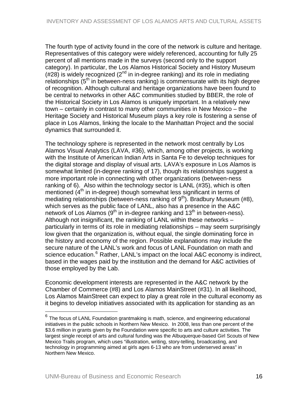<span id="page-16-0"></span>The fourth type of activity found in the core of the network is culture and heritage. Representatives of this category were widely referenced, accounting for fully 25 percent of all mentions made in the surveys (second only to the support category). In particular, the Los Alamos Historical Society and History Museum  $(428)$  is widely recognized (2<sup>nd</sup> in in-degree ranking) and its role in mediating relationships  $(5<sup>th</sup>$  in between-ness ranking) is commensurate with its high degree of recognition. Although cultural and heritage organizations have been found to be central to networks in other A&C communities studied by BBER, the role of the Historical Society in Los Alamos is uniquely important. In a relatively new town – certainly in contrast to many other communities in New Mexico – the Heritage Society and Historical Museum plays a key role is fostering a sense of place in Los Alamos, linking the locale to the Manhattan Project and the social dynamics that surrounded it.

The technology sphere is represented in the network most centrally by Los Alamos Visual Analytics (LAVA, #36), which, among other projects, is working with the Institute of American Indian Arts in Santa Fe to develop techniques for the digital storage and display of visual arts. LAVA's exposure in Los Alamos is somewhat limited (in-degree ranking of 17), though its relationships suggest a more important role in connecting with other organizations (between-ness ranking of 6). Also within the technology sector is LANL (#35), which is often mentioned  $(4<sup>th</sup>$  in in-degree) though somewhat less significant in terms of mediating relationships (between-ness ranking of  $9<sup>th</sup>$ ). Bradbury Museum (#8), which serves as the public face of LANL, also has a presence in the A&C network of Los Alamos ( $9<sup>th</sup>$  in in-degree ranking and 13<sup>th</sup> in between-ness). Although not insignificant, the ranking of LANL within these networks – particularly in terms of its role in mediating relationships – may seem surprisingly low given that the organization is, without equal, the single dominating force in the history and economy of the region. Possible explanations may include the secure nature of the LANL's work and focus of LANL Foundation on math and science education.<sup>[6](#page-16-0)</sup> Rather, LANL's impact on the local A&C economy is indirect, based in the wages paid by the institution and the demand for A&C activities of those employed by the Lab.

Economic development interests are represented in the A&C network by the Chamber of Commerce (#8) and Los Alamos MainStreet (#31). In all likelihood, Los Alamos MainStreet can expect to play a great role in the cultural economy as it begins to develop initiatives associated with its application for standing as an

 $\overline{a}$ 

 $6$  The focus of LANL Foundation grantmaking is math, science, and engineering educational initiatives in the public schools in Northern New Mexico. In 2008, less than one percent of the \$3.6 million in grants given by the Foundation were specific to arts and culture activities. The largest single receipt of arts and cultural funding was the Albuquerque-based Girl Scouts of New Mexico Trails program, which uses "illustration, writing, story-telling, broadcasting, and technology in programming aimed at girls ages 6-13 who are from underserved areas" in Northern New Mexico.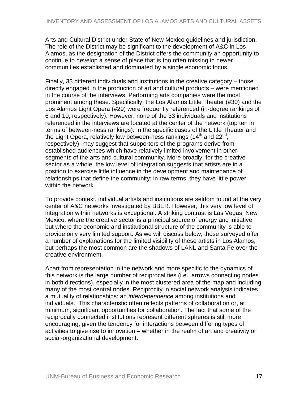Arts and Cultural District under State of New Mexico guidelines and jurisdiction. The role of the District may be significant to the development of A&C in Los Alamos, as the designation of the District offers the community an opportunity to continue to develop a sense of place that is too often missing in newer communities established and dominated by a single economic focus.

Finally, 33 different individuals and institutions in the creative category – those directly engaged in the production of art and cultural products – were mentioned in the course of the interviews. Performing arts companies were the most prominent among these. Specifically, the Los Alamos Little Theater (#30) and the Los Alamos Light Opera (#29) were frequently referenced (in-degree rankings of 6 and 10, respectively). However, none of the 33 individuals and institutions referenced in the interviews are located at the center of the network (top ten in terms of between-ness rankings). In the specific cases of the Little Theater and the Light Opera, relatively low between-ness rankings (14<sup>th</sup> and 22<sup>nd</sup>, respectively), may suggest that supporters of the programs derive from established audiences which have relatively limited involvement in other segments of the arts and cultural community. More broadly, for the creative sector as a whole, the low level of integration suggests that artists are in a position to exercise little influence in the development and maintenance of relationships that define the community; in raw terms, they have little power within the network.

To provide context, individual artists and institutions are seldom found at the very center of A&C networks investigated by BBER. However, this very low level of integration within networks is exceptional. A striking contrast is Las Vegas, New Mexico, where the creative sector is a principal source of energy and initiative, but where the economic and institutional structure of the community is able to provide only very limited support. As we will discuss below, those surveyed offer a number of explanations for the limited visibility of these artists in Los Alamos, but perhaps the most common are the shadows of LANL and Santa Fe over the creative environment.

Apart from representation in the network and more specific to the dynamics of this network is the large number of reciprocal ties (i.e., arrows connecting nodes in both directions), especially in the most clustered area of the map and including many of the most central nodes. Reciprocity in social network analysis indicates a mutuality of relationships: an *interdependence* among institutions and individuals. This characteristic often reflects patterns of collaboration or, at minimum, significant opportunities for collaboration. The fact that some of the reciprocally connected institutions represent different spheres is still more encouraging, given the tendency for interactions between differing types of activities to give rise to innovation – whether in the realm of art and creativity or social-organizational development.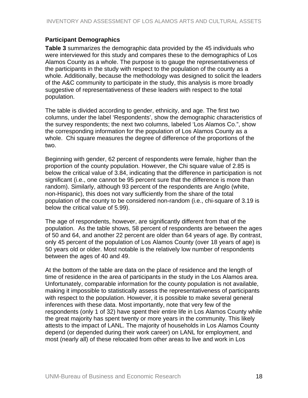# <span id="page-18-0"></span>**Participant Demographics**

**Table 3** summarizes the demographic data provided by the 45 individuals who were interviewed for this study and compares these to the demographics of Los Alamos County as a whole. The purpose is to gauge the representativeness of the participants in the study with respect to the population of the county as a whole. Additionally, because the methodology was designed to solicit the leaders of the A&C community to participate in the study, this analysis is more broadly suggestive of representativeness of these leaders with respect to the total population.

The table is divided according to gender, ethnicity, and age. The first two columns, under the label 'Respondents', show the demographic characteristics of the survey respondents; the next two columns, labeled 'Los Alamos Co.", show the corresponding information for the population of Los Alamos County as a whole. Chi square measures the degree of difference of the proportions of the two.

Beginning with gender, 62 percent of respondents were female, higher than the proportion of the county population. However, the Chi square value of 2.85 is below the critical value of 3.84, indicating that the difference in participation is not significant (i.e., one cannot be 95 percent sure that the difference is more than random). Similarly, although 93 percent of the respondents are Anglo (white, non-Hispanic), this does not vary sufficiently from the share of the total population of the county to be considered non-random (i.e., chi-square of 3.19 is below the critical value of 5.99).

The age of respondents, however, are significantly different from that of the population. As the table shows, 58 percent of respondents are between the ages of 50 and 64, and another 22 percent are older than 64 years of age. By contrast, only 45 percent of the population of Los Alamos County (over 18 years of age) is 50 years old or older. Most notable is the relatively low number of respondents between the ages of 40 and 49.

At the bottom of the table are data on the place of residence and the length of time of residence in the area of participants in the study in the Los Alamos area. Unfortunately, comparable information for the county population is not available, making it impossible to statistically assess the representativeness of participants with respect to the population. However, it is possible to make several general inferences with these data. Most importantly, note that very few of the respondents (only 1 of 32) have spent their entire life in Los Alamos County while the great majority has spent twenty or more years in the community. This likely attests to the impact of LANL. The majority of households in Los Alamos County depend (or depended during their work career) on LANL for employment, and most (nearly all) of these relocated from other areas to live and work in Los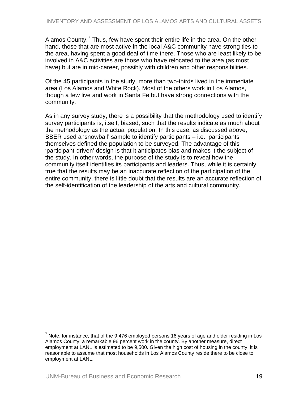<span id="page-19-0"></span>Alamos County.<sup>[7](#page-19-0)</sup> Thus, few have spent their entire life in the area. On the other hand, those that are most active in the local A&C community have strong ties to the area, having spent a good deal of time there. Those who are least likely to be involved in A&C activities are those who have relocated to the area (as most have) but are in mid-career, possibly with children and other responsibilities.

Of the 45 participants in the study, more than two-thirds lived in the immediate area (Los Alamos and White Rock). Most of the others work in Los Alamos, though a few live and work in Santa Fe but have strong connections with the community.

As in any survey study, there is a possibility that the methodology used to identify survey participants is, itself, biased, such that the results indicate as much about the methodology as the actual population. In this case, as discussed above, BBER used a 'snowball' sample to identify participants – i.e., participants themselves defined the population to be surveyed. The advantage of this 'participant-driven' design is that it anticipates bias and makes it the subject of the study. In other words, the purpose of the study is to reveal how the community itself identifies its participants and leaders. Thus, while it is certainly true that the results may be an inaccurate reflection of the participation of the entire community, there is little doubt that the results are an accurate reflection of the self-identification of the leadership of the arts and cultural community.

The matriz of the metal controlled the state of the 9,476 employed persons 16 years of age and older residing in Los<br>Thote, for instance, that of the 9,476 employed persons 16 years of age and older residing in Los Alamos County, a remarkable 96 percent work in the county. By another measure, direct employment at LANL is estimated to be 9,500. Given the high cost of housing in the county, it is reasonable to assume that most households in Los Alamos County reside there to be close to employment at LANL.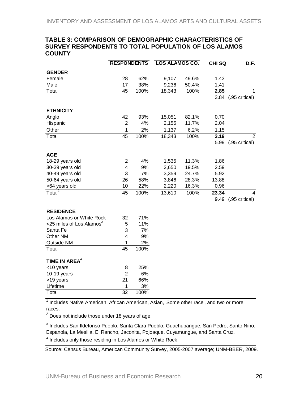#### <span id="page-20-0"></span>**TABLE 3: COMPARISON OF DEMOGRAPHIC CHARACTERISTICS OF SURVEY RESPONDENTS TO TOTAL POPULATION OF LOS ALAMOS COUNTY**

|                                      | <b>RESPONDENTS</b> |            | LOS ALAMOS CO. |              | <b>CHISQ</b> | D.F.           |
|--------------------------------------|--------------------|------------|----------------|--------------|--------------|----------------|
| <b>GENDER</b>                        |                    |            |                |              |              |                |
| Female                               | 28                 | 62%        | 9,107          | 49.6%        | 1.43         |                |
| Male                                 | 17                 | 38%        | 9,236          | 50.4%        | 1.41         |                |
| Total                                | 45                 | 100%       | 18,343         | 100%         | 2.85         | 1              |
|                                      |                    |            |                |              | 3.84         | (.95 critical) |
| <b>ETHNICITY</b>                     |                    |            |                |              |              |                |
| Anglo                                | 42                 | 93%        | 15,051         | 82.1%        | 0.70         |                |
| Hispanic                             | $\overline{2}$     | 4%         | 2,155          | 11.7%        | 2.04         |                |
| Other $1$                            |                    |            |                |              |              |                |
| Total                                | $\mathbf 1$<br>45  | 2%<br>100% | 1,137          | 6.2%<br>100% | 1.15<br>3.19 | 2              |
|                                      |                    |            | 18,343         |              | 5.99         |                |
|                                      |                    |            |                |              |              | (.95 critical) |
| <b>AGE</b>                           |                    |            |                |              |              |                |
| 18-29 years old                      | 2                  | 4%         | 1,535          | 11.3%        | 1.86         |                |
| 30-39 years old                      | 4                  | 9%         | 2,650          | 19.5%        | 2.59         |                |
| 40-49 years old                      | 3                  | 7%         | 3,359          | 24.7%        | 5.92         |                |
| 50-64 years old                      | 26                 | 58%        | 3,846          | 28.3%        | 13.88        |                |
| >64 years old                        | 10                 | 22%        | 2,220          | 16.3%        | 0.96         |                |
| Total $^2$                           | 45                 | 100%       | 13,610         | 100%         | 23.34        | 4              |
|                                      |                    |            |                |              | 9.49         | (.95 critical) |
| <b>RESIDENCE</b>                     |                    |            |                |              |              |                |
| Los Alamos or White Rock             | 32                 | 71%        |                |              |              |                |
| <25 miles of Los Alamos <sup>3</sup> | 5                  | 11%        |                |              |              |                |
| Santa Fe                             | 3                  | 7%         |                |              |              |                |
| Other NM                             | 4                  | 9%         |                |              |              |                |
| Outside NM                           | 1                  | 2%         |                |              |              |                |
| Total                                | 45                 | 100%       |                |              |              |                |
|                                      |                    |            |                |              |              |                |
| TIME IN AREA <sup>4</sup>            |                    |            |                |              |              |                |
| <10 years                            | 8                  | 25%        |                |              |              |                |
| $10-19$ years                        | $\overline{2}$     | 6%         |                |              |              |                |
| >19 years                            | 21                 | 66%        |                |              |              |                |
| Lifetime                             | 1                  | 3%         |                |              |              |                |
| Total                                | $\overline{32}$    | 100%       |                |              |              |                |

<sup>1</sup> Includes Native American, African American, Asian, 'Some other race', and two or more races.

 $2$  Does not include those under 18 years of age.

<sup>3</sup> Includes San Ildefonso Pueblo, Santa Clara Pueblo, Guachupangue, San Pedro, Santo Nino, Espanola, La Mesilla, El Rancho, Jaconita, Pojoaque, Cuyamungue, and Santa Cruz.

<sup>4</sup> Includes only those residing in Los Alamos or White Rock.

Source: Census Bureau, American Community Survey, 2005-2007 average; UNM-BBER, 2009.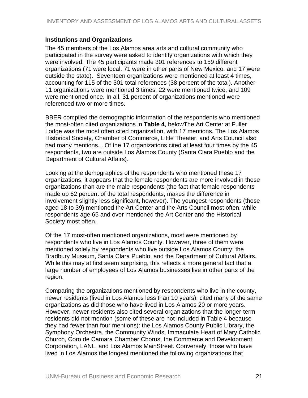### <span id="page-21-0"></span>**Institutions and Organizations**

The 45 members of the Los Alamos area arts and cultural community who participated in the survey were asked to identify organizations with which they were involved. The 45 participants made 301 references to 159 different organizations (71 were local, 71 were in other parts of New Mexico, and 17 were outside the state). Seventeen organizations were mentioned at least 4 times, accounting for 115 of the 301 total references (38 percent of the total). Another 11 organizations were mentioned 3 times; 22 were mentioned twice, and 109 were mentioned once. In all, 31 percent of organizations mentioned were referenced two or more times.

BBER compiled the demographic information of the respondents who mentioned the most-often cited organizations in **Table 4**, belowThe Art Center at Fuller Lodge was the most often cited organization, with 17 mentions. The Los Alamos Historical Society, Chamber of Commerce, Little Theater, and Arts Council also had many mentions. . Of the 17 organizations cited at least four times by the 45 respondents, two are outside Los Alamos County (Santa Clara Pueblo and the Department of Cultural Affairs).

Looking at the demographics of the respondents who mentioned these 17 organizations, it appears that the female respondents are more involved in these organizations than are the male respondents (the fact that female respondents made up 62 percent of the total respondents, makes the difference in involvement slightly less significant, however). The youngest respondents (those aged 18 to 39) mentioned the Art Center and the Arts Council most often, while respondents age 65 and over mentioned the Art Center and the Historical Society most often.

Of the 17 most-often mentioned organizations, most were mentioned by respondents who live in Los Alamos County. However, three of them were mentioned solely by respondents who live outside Los Alamos County: the Bradbury Museum, Santa Clara Pueblo, and the Department of Cultural Affairs. While this may at first seem surprising, this reflects a more general fact that a large number of employees of Los Alamos businesses live in other parts of the region.

Comparing the organizations mentioned by respondents who live in the county, newer residents (lived in Los Alamos less than 10 years), cited many of the same organizations as did those who have lived in Los Alamos 20 or more years. However, newer residents also cited several organizations that the longer-term residents did not mention (some of these are not included in Table 4 because they had fewer than four mentions): the Los Alamos County Public Library, the Symphony Orchestra, the Community Winds, Immaculate Heart of Mary Catholic Church, Coro de Camara Chamber Chorus, the Commerce and Development Corporation, LANL, and Los Alamos MainStreet. Conversely, those who have lived in Los Alamos the longest mentioned the following organizations that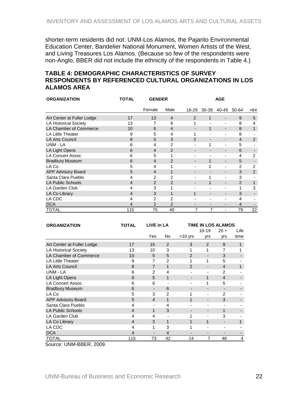<span id="page-22-0"></span>shorter-term residents did not: UNM-Los Alamos, the Pajarito Environmental Education Center, Bandelier National Monument, Women Artists of the West, and Living Treasures Los Alamos. (Because so few of the respondents were non-Anglo, BBER did not include the ethnicity of the respondents in Table 4.)

### **TABLE 4: DEMOGRAPHIC CHARACTERISTICS OF SURVEY RESPONDENTS BY REFERENCED CULTURAL ORGANIZATIONS IN LOS ALAMOS AREA**

| <b>ORGANIZATION</b>          | <b>TOTAL</b>   | <b>GENDER</b>  |                | <b>AGE</b>     |              |                          |                |                |
|------------------------------|----------------|----------------|----------------|----------------|--------------|--------------------------|----------------|----------------|
|                              |                | Female         | Male           | 18-29          | 30-39        | 40-49                    | 50-64          | >64            |
| Art Center at Fuller Lodge   | 17             | 13             | $\overline{4}$ | 2              | $\mathbf{1}$ | $\blacksquare$           | 9              | 5              |
| <b>LA Historical Society</b> | 13             | 7              | 6              |                |              | -                        | 8              | 4              |
| LA Chamber of Commerce       | 10             | 6              | 4              |                | 1            | $\blacksquare$           | 8              | $\mathbf{1}$   |
| <b>LA Little Theater</b>     | 9              | 5              | $\overline{4}$ |                |              | $\overline{a}$           | 8              |                |
| <b>LA Arts Council</b>       | 8              | 5              | 3              | $\overline{2}$ |              | $\overline{\phantom{0}}$ | $\overline{4}$ | $\overline{2}$ |
| UNM - LA                     | 6              | 4              | 2              |                | 1            | -                        | 5              |                |
| LA Light Opera               | 6              | 4              | 2              |                |              | -                        | 6              |                |
| <b>LA Concert Assoc</b>      | 6              | 5              | 1              |                |              |                          | 4              | $\overline{2}$ |
| <b>Bradbury Museum</b>       | 6              | $\overline{4}$ | 2              |                |              | $\overline{\phantom{0}}$ | 5              |                |
| LA Co                        | 5              | 4              | 1              |                | 1            | $\blacksquare$           | 2              | $\overline{2}$ |
| APP Advisory Board           | 5              | 4              | 1              | $\overline{a}$ |              | $\overline{\phantom{a}}$ | 3              | 2              |
| Santa Clara Pueblo           | 4              | 2              | 2              |                | $\mathbf 1$  | $\blacksquare$           | 3              |                |
| <b>LA Public Schools</b>     | $\overline{4}$ | 2              | 2              |                | 1            | $\overline{\phantom{a}}$ | 2              |                |
| LA Garden Club               | 4              | 3              | 1              |                |              | $\blacksquare$           | 1              | 3              |
| LA Co Library                | $\overline{4}$ | 3              | 1              | 1              |              | $\overline{\phantom{a}}$ | 3              |                |
| LA CDC                       | 4              | 2              | 2              | -              |              | ٠                        | 4              |                |
| <b>DCA</b>                   | 4              | 2              | 2              |                |              | -                        | $\overline{4}$ |                |
| TOTAL                        | 115            | 75             | 40             | 7              | 7            | $\overline{\phantom{a}}$ | 79             | 22             |

| <b>ORGANIZATION</b>          | TOTAL                    | LIVE in LA     |                | <b>TIME IN LOS ALAMOS</b> |                |                         |      |
|------------------------------|--------------------------|----------------|----------------|---------------------------|----------------|-------------------------|------|
|                              |                          |                |                |                           | $10 - 19$      | $20 +$                  | Life |
|                              |                          | Yes            | No             | $<$ 10 yrs                | yrs            | yrs                     | time |
| Art Center at Fuller Lodge   | 17                       | 15             | $\overline{2}$ | 3                         | $\overline{2}$ | 9                       |      |
| <b>LA Historical Society</b> | 13                       | 10             | 3              | 1                         | 1              | 7                       |      |
| LA Chamber of Commerce       | 10                       | 5              | 5              | $\overline{2}$            |                | 3                       |      |
| <b>LA Little Theater</b>     | 9                        | 7              | $\overline{2}$ | 1                         | 1              | 5                       |      |
| <b>LA Arts Council</b>       | 8                        | $\overline{7}$ | 1              | $\overline{2}$            |                | $\overline{\mathbf{4}}$ |      |
| UNM - LA                     | 6                        | $\overline{2}$ | 4              | ٠                         | ۰              | $\mathfrak{p}$          |      |
| LA Light Opera               | 6                        | 5              | 1              |                           | 1              | 4                       |      |
| <b>LA Concert Assoc</b>      | 6                        | 6              |                |                           | 1              | 5                       |      |
| <b>Bradbury Museum</b>       | 6                        |                | 6              |                           |                |                         |      |
| LA Co                        | 5                        | 3              | $\overline{2}$ |                           |                | $\mathfrak{p}$          |      |
| <b>APP Advisory Board</b>    | 5                        | $\overline{4}$ | 1              | 1                         |                | 3                       |      |
| Santa Clara Pueblo           | 4                        |                | 4              |                           |                |                         |      |
| <b>LA Public Schools</b>     | $\overline{\mathcal{A}}$ | 1              | 3              |                           |                |                         |      |
| LA Garden Club               | 4                        | 4              |                |                           |                | 3                       |      |
| LA Co Library                | $\overline{\mathcal{A}}$ | 3              | 1              | 1                         | 1              |                         |      |
| LA CDC                       | 4                        | 1              | 3              |                           |                |                         |      |
| <b>DCA</b>                   | $\overline{\mathcal{A}}$ |                | 4              |                           |                |                         |      |
| TOTAL                        | 115                      | 73             | 42             | 14                        | 7              | 48                      | 4    |

Source: UNM-BBER, 2009.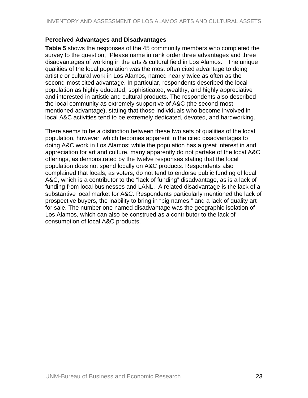## <span id="page-23-0"></span>**Perceived Advantages and Disadvantages**

**Table 5** shows the responses of the 45 community members who completed the survey to the question, "Please name in rank order three advantages and three disadvantages of working in the arts & cultural field in Los Alamos." The unique qualities of the local population was the most often cited advantage to doing artistic or cultural work in Los Alamos, named nearly twice as often as the second-most cited advantage. In particular, respondents described the local population as highly educated, sophisticated, wealthy, and highly appreciative and interested in artistic and cultural products. The respondents also described the local community as extremely supportive of A&C (the second-most mentioned advantage), stating that those individuals who become involved in local A&C activities tend to be extremely dedicated, devoted, and hardworking.

There seems to be a distinction between these two sets of qualities of the local population, however, which becomes apparent in the cited disadvantages to doing A&C work in Los Alamos: while the population has a great interest in and appreciation for art and culture, many apparently do not partake of the local A&C offerings, as demonstrated by the twelve responses stating that the local population does not spend locally on A&C products. Respondents also complained that locals, as voters, do not tend to endorse public funding of local A&C, which is a contributor to the "lack of funding" disadvantage, as is a lack of funding from local businesses and LANL. A related disadvantage is the lack of a substantive local market for A&C. Respondents particularly mentioned the lack of prospective buyers, the inability to bring in "big names," and a lack of quality art for sale. The number one named disadvantage was the geographic isolation of Los Alamos, which can also be construed as a contributor to the lack of consumption of local A&C products.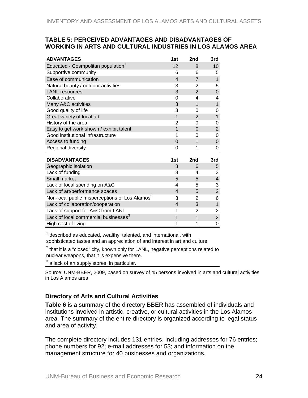### <span id="page-24-0"></span>**TABLE 5: PERCEIVED ADVANTAGES AND DISADVANTAGES OF WORKING IN ARTS AND CULTURAL INDUSTRIES IN LOS ALAMOS AREA**

| <b>ADVANTAGES</b>                                          | 1st                      | 2nd            | 3rd                     |
|------------------------------------------------------------|--------------------------|----------------|-------------------------|
| Educated - Cosmpolitan population <sup>1</sup>             | 12                       | 8              | 10                      |
| Supportive community                                       | 6                        | 6              | 5                       |
| Ease of communication                                      | 4                        | $\overline{7}$ | $\mathbf{1}$            |
| Natural beauty / outdoor activities                        | 3                        | 2              | 5                       |
| <b>LANL</b> resources                                      | 3                        | $\overline{2}$ | $\pmb{0}$               |
| Collaborative                                              | 0                        | 4              | 4                       |
| Many A&C activities                                        | 3                        | 1              | $\mathbf{1}$            |
| Good quality of life                                       | 3                        | 0              | 0                       |
| Great variety of local art                                 | $\mathbf{1}$             | $\overline{2}$ | $\mathbf{1}$            |
| History of the area                                        | 2                        | 0              | 0                       |
| Easy to get work shown / exhibit talent                    | $\overline{1}$           | 0              | $\overline{2}$          |
| Good institutional infrastructure                          | 1                        | 0              | $\Omega$                |
| Access to funding                                          | $\Omega$                 | 1              | $\mathbf 0$             |
| Regional diversity                                         | 0                        | 1              | 0                       |
|                                                            |                          |                |                         |
| <b>DISADVANTAGES</b>                                       | 1st                      | 2nd            | 3rd                     |
| Geographic isolation                                       | 8                        | 6              | 5                       |
| Lack of funding                                            | 8                        | 4              | 3                       |
| Small market                                               | 5                        | 5              | $\overline{\mathbf{4}}$ |
| Lack of local spending on A&C                              | 4                        | 5              | 3                       |
| Lack of art/performance spaces                             | 4                        | 5              | $\overline{c}$          |
| Non-local public misperceptions of Los Alamos <sup>2</sup> | 3                        | 2              | 6                       |
| Lack of collaboration/cooperation                          | $\overline{\mathcal{L}}$ | 3              | $\mathbf{1}$            |
| Lack of support for A&C from LANL                          | 1                        | 2              | 2                       |
| Lack of local commercial businesses <sup>3</sup>           | 1                        | 1              | $\overline{2}$          |
| High cost of living                                        | 1                        | 1              | 0                       |

 $1$  described as educated, wealthy, talented, and international, with

sophisticated tastes and an appreciation of and interest in art and culture.

 $^2$  that it is a "closed" city, known only for LANL, negative perceptions related to nuclear weapons, that it is expensive there.

 $^3$  a lack of art supply stores, in particular.

Source: UNM-BBER, 2009, based on survey of 45 persons involved in arts and cultural activities in Los Alamos area.

# **Directory of Arts and Cultural Activities**

**Table 6** is a summary of the directory BBER has assembled of individuals and institutions involved in artistic, creative, or cultural activities in the Los Alamos area. The summary of the entire directory is organized according to legal status and area of activity.

The complete directory includes 131 entries, including addresses for 76 entries; phone numbers for 92; e-mail addresses for 53; and information on the management structure for 40 businesses and organizations.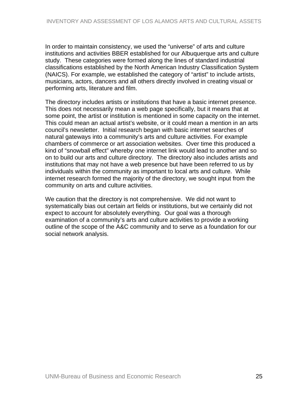In order to maintain consistency, we used the "universe" of arts and culture institutions and activities BBER established for our Albuquerque arts and culture study. These categories were formed along the lines of standard industrial classifications established by the North American Industry Classification System (NAICS). For example, we established the category of "artist" to include artists, musicians, actors, dancers and all others directly involved in creating visual or performing arts, literature and film.

The directory includes artists or institutions that have a basic internet presence. This does not necessarily mean a web page specifically, but it means that at some point, the artist or institution is mentioned in some capacity on the internet. This could mean an actual artist's website, or it could mean a mention in an arts council's newsletter. Initial research began with basic internet searches of natural gateways into a community's arts and culture activities. For example chambers of commerce or art association websites. Over time this produced a kind of "snowball effect" whereby one internet link would lead to another and so on to build our arts and culture directory. The directory also includes artists and institutions that may not have a web presence but have been referred to us by individuals within the community as important to local arts and culture. While internet research formed the majority of the directory, we sought input from the community on arts and culture activities.

We caution that the directory is not comprehensive. We did not want to systematically bias out certain art fields or institutions, but we certainly did not expect to account for absolutely everything. Our goal was a thorough examination of a community's arts and culture activities to provide a working outline of the scope of the A&C community and to serve as a foundation for our social network analysis.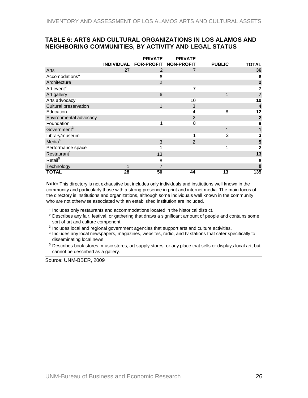#### <span id="page-26-0"></span>**TABLE 6: ARTS AND CULTURAL ORGANIZATIONS IN LOS ALAMOS AND NEIGHBORING COMMUNITIES, BY ACTIVITY AND LEGAL STATUS**

|                            |    | <b>PRIVATE</b>        | <b>PRIVATE</b>    |                |                         |
|----------------------------|----|-----------------------|-------------------|----------------|-------------------------|
|                            |    | INDIVIDUAL FOR-PROFIT | <b>NON-PROFIT</b> | <b>PUBLIC</b>  | <b>TOTAL</b>            |
| Arts                       | 27 | $\overline{2}$        | 7                 |                | 36                      |
| Accomodations <sup>1</sup> |    | 6                     |                   |                | 6                       |
| Architecture               |    | 2                     |                   |                | $\overline{\mathbf{2}}$ |
| Art event <sup>2</sup>     |    |                       | 7                 |                | 7                       |
| Art gallery                |    | 6                     |                   | 1              | 7                       |
| Arts advocacy              |    |                       | 10                |                | 10                      |
| Cultural preservation      |    | 1                     | 3                 |                | $\overline{\mathbf{4}}$ |
| Education                  |    |                       | 4                 | 8              | 12                      |
| Environmental advocacy     |    |                       | 2                 |                | $\boldsymbol{2}$        |
| Foundation                 |    |                       | 8                 |                | 9                       |
| Government <sup>3</sup>    |    |                       |                   | 1              |                         |
| Library/museum             |    |                       | 1                 | $\overline{2}$ | 3                       |
| Media <sup>4</sup>         |    | 3                     | 2                 |                | 5                       |
| Performance space          |    |                       |                   | 1              | 2                       |
| Restaurant <sup>1</sup>    |    | 13                    |                   |                | 13                      |
| Retail <sup>5</sup>        |    | 8                     |                   |                | 8                       |
| Technology                 |    | 7                     |                   |                | 8                       |
| <b>TOTAL</b>               | 28 | 50                    | 44                | 13             | $\overline{135}$        |

**Note:** This directory is not exhaustive but includes only individuals and institutions well known in the community and particularly those with a strong presence in print and internet media. The main focus of the directory is institutions and organizations, although some individuals well known in the community who are not otherwise associated with an established institution are included.

- <sup>1</sup> Includes only restaurants and accommodations located in the historical district.
- 2 Describes any fair, festival, or gathering that draws a significant amount of people and contains some sort of art and culture component.
- $3$  Includes local and regional government agencies that support arts and culture activities.
- 4 Includes any local newspapers, magazines, websites, radio, and tv stations that cater specifically to disseminating local news.
- <sup>5</sup> Describes book stores, music stores, art supply stores, or any place that sells or displays local art, but cannot be described as a gallery.

Source: UNM-BBER, 2009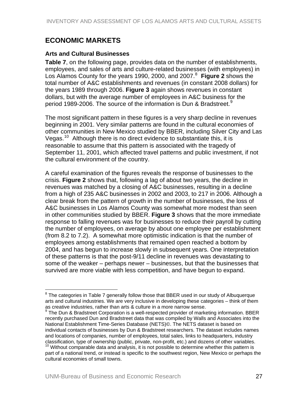# <span id="page-27-0"></span>**ECONOMIC MARKETS**

# **Arts and Cultural Businesses**

**Table 7**, on the following page, provides data on the number of establishments, employees, and sales of arts and culture-related businesses (with employees) in Los Alamos County for the years 1990, 2000, and 2007.<sup>[8](#page-27-0)</sup> Figure 2 shows the total number of A&C establishments and revenues (in constant 2008 dollars) for the years 1989 through 2006. **Figure 3** again shows revenues in constant dollars, but with the average number of employees in A&C business for the period 1[9](#page-27-0)89-2006. The source of the information is Dun & Bradstreet.<sup>9</sup>

The most significant pattern in these figures is a very sharp decline in revenues beginning in 2001. Very similar patterns are found in the cultural economies of other communities in New Mexico studied by BBER, including Silver City and Las Vegas.<sup>[10](#page-27-0)</sup> Although there is no direct evidence to substantiate this, it is reasonable to assume that this pattern is associated with the tragedy of September 11, 2001, which affected travel patterns and public investment, if not the cultural environment of the country.

A careful examination of the figures reveals the response of businesses to the crisis. **Figure 2** shows that, following a lag of about two years, the decline in revenues was matched by a closing of A&C businesses, resulting in a decline from a high of 235 A&C businesses in 2002 and 2003, to 217 in 2006. Although a clear break from the pattern of growth in the number of businesses, the loss of A&C businesses in Los Alamos County was somewhat more modest than seen in other communities studied by BBER. **Figure 3** shows that the more immediate response to falling revenues was for businesses to reduce their payroll by cutting the number of employees, on average by about one employee per establishment (from 8.2 to 7.2). A somewhat more optimistic indication is that the number of employees among establishments that remained open reached a bottom by 2004, and has begun to increase slowly in subsequent years. One interpretation of these patterns is that the post-9/11 decline in revenues was devastating to some of the weaker – perhaps newer – businesses, but that the businesses that survived are more viable with less competition, and have begun to expand.

 $\overline{a}$ 

 $8$  The categories in Table 7 generally follow those that BBER used in our study of Albuquerque arts and cultural industries. We are very inclusive in developing these categories – think of them as creative industries, rather than arts & culture in a more narrow sense.

 $9$  The Dun & Bradstreet Corporation is a well-respected provider of marketing information. BBER recently purchased Dun and Bradstreet data that was compiled by Walls and Associates into the National Establishment Time-Series Database (NETS)©. The NETS dataset is based on individual contacts of businesses by Dun & Bradstreet researchers. The dataset includes names and locations of companies, number of employees, total sales, links to headquarters, industry classification, type of ownership (public, private, non-profit, etc.) and dozens of other variables.<br><sup>10</sup> Without comparable data and analysis, it is not possible to determine whether this pattern is

part of a national trend, or instead is specific to the southwest region, New Mexico or perhaps the cultural economies of small towns.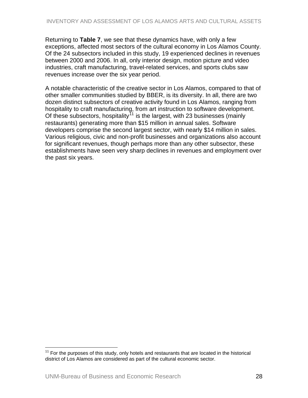<span id="page-28-0"></span>Returning to **Table 7**, we see that these dynamics have, with only a few exceptions, affected most sectors of the cultural economy in Los Alamos County. Of the 24 subsectors included in this study, 19 experienced declines in revenues between 2000 and 2006. In all, only interior design, motion picture and video industries, craft manufacturing, travel-related services, and sports clubs saw revenues increase over the six year period.

A notable characteristic of the creative sector in Los Alamos, compared to that of other smaller communities studied by BBER, is its diversity. In all, there are two dozen distinct subsectors of creative activity found in Los Alamos, ranging from hospitality to craft manufacturing, from art instruction to software development. Of these subsectors, hospitality<sup>[11](#page-28-0)</sup> is the largest, with 23 businesses (mainly restaurants) generating more than \$15 million in annual sales. Software developers comprise the second largest sector, with nearly \$14 million in sales. Various religious, civic and non-profit businesses and organizations also account for significant revenues, though perhaps more than any other subsector, these establishments have seen very sharp declines in revenues and employment over the past six years.

1

 $11$  For the purposes of this study, only hotels and restaurants that are located in the historical district of Los Alamos are considered as part of the cultural economic sector.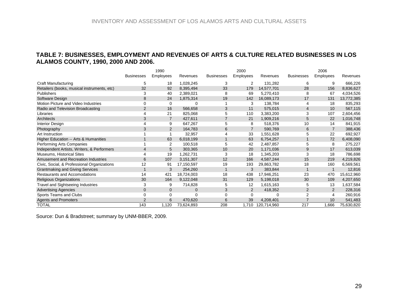### **TABLE 7: BUSINESSES, EMPLOYMENT AND REVENUES OF ARTS & CULTURE RELATED BUSINESSES IN LOS ALAMOS COUNTY, 1990, 2000 AND 2006.**

|                                             |                   | 1990             |                |                   | 2000             |             |                   | 2006           |            |
|---------------------------------------------|-------------------|------------------|----------------|-------------------|------------------|-------------|-------------------|----------------|------------|
|                                             | <b>Businesses</b> | <b>Employees</b> | Revenues       | <b>Businesses</b> | <b>Employees</b> | Revenues    | <b>Businesses</b> | Employees      | Revenues   |
| Craft Manufacturing                         | 5                 | 18               | 1,028,245      | 3                 | 2                | 131,282     | 6                 | 9              | 666,226    |
| Retailers (books, musical instruments, etc) | 32                | 92               | 8,395,494      | 33                | 179              | 14,577,701  | 28                | 156            | 8,836,627  |
| Publishers                                  | 3                 | 40               | 2,389,021      | 8                 | 69               | 5,270,410   | 8                 | 67             | 4,034,526  |
| Software Design                             | 8                 | 24               | 1,875,314      | 19                | 142              | 16,089,173  | 17                | 131            | 13,772,385 |
| Motion Picture and Video Industries         | 0                 | $\mathbf 0$      |                |                   | 3                | 138,784     | 4                 | 18             | 835,293    |
| Radio and Television Broadcasting           | $\overline{2}$    | 16               | 566,658        | 3                 | 11               | 575,015     | $\overline{4}$    | 10             | 567,115    |
| Libraries                                   |                   | 21               | 825,068        | 5                 | 110              | 3,383,200   | 3                 | 107            | 2,604,456  |
| Architects                                  | 3                 | $\overline{7}$   | 427,611        | $\overline{7}$    | 21               | 1,909,216   | 5                 | 22             | 1,016,748  |
| <b>Interior Design</b>                      |                   | 9                | 647,267        | 5                 | 8                | 518,376     | 10                | 14             | 841,915    |
| Photography                                 | 3                 | 2                | 164,783        | 6                 | $\overline{7}$   | 590,769     | 6                 | $\overline{7}$ | 388,436    |
| Art Instruction                             |                   |                  | 32,957         |                   | 33               | 1,551,628   | 5                 | 22             | 692,927    |
| Higher Education -- Arts & Humanities       |                   | 63               | 6,018,199      |                   | 63               | 6,754,257   |                   | 72             | 6,408,090  |
| Performing Arts Companies                   |                   | 2                | 100,518        | 5                 | 42               | 2,487,857   | 5                 | 8              | 275,227    |
| Independent Artists, Writers, & Performers  | 4                 | 5                | 303,365        | 10                | 20               | 1,171,036   | 9                 | 17             | 613,039    |
| Museums, Historical Sites                   |                   | 19               | 1,262,731      | 3                 | 18               | 1,345,203   | 3                 | 18             | 786,698    |
| Amusement and Recreation Industries         | 6                 | 107              | 3,151,307      | 12                | 166              | 4,587,244   | 15                | 219            | 4,219,826  |
| Civic, Social, & Professional Organizations | 12                | 91               | 17,150,597     | 19                | 193              | 29,863,782  | 18                | 160            | 6,569,561  |
| <b>Grantmaking and Giving Services</b>      |                   | 3                | 254,260        | -1                | 3                | 383,844     | -1                | $\mathbf 1$    | 12,816     |
| Restaurants and Accomodations               | 14                | 421              | 18,724,003     | 18                | 438              | 17,946,251  | 23                | 470            | 15,612,960 |
| <b>Religious Organizations</b>              | 30                | 164              | 9,122,048      | 31                | 129              | 5,198,018   | 30                | 109            | 4,207,650  |
| <b>Travel and Sightseeing Industries</b>    | 3                 | 9                | 714,828        | 5                 | 12               | 1,615,163   | 5                 | 13             | 1,637,584  |
| <b>Advertising Agencies</b>                 | 0                 | $\overline{0}$   | $\overline{0}$ | 3                 | 2                | 418,352     | $\overline{2}$    | $\overline{2}$ | 228,316    |
| Sports Teams and Clubs                      | ი                 | 0                | $\Omega$       | $\Omega$          | 0                | 0           | 2                 | 4              | 260,916    |
| <b>Agents and Promoters</b>                 | $\overline{2}$    | 6                | 470,620        | 6                 | 39               | 4,208,401   | $\overline{ }$    | 10             | 541,483    |
| TOTAL                                       | 143               | 1,120            | 73,624,893     | 208               | 1.710            | 120,714,960 | 217               | 1.666          | 75,630,820 |

<span id="page-29-0"></span>Source: Dun & Bradstreet; summary by UNM-BBER, 2009.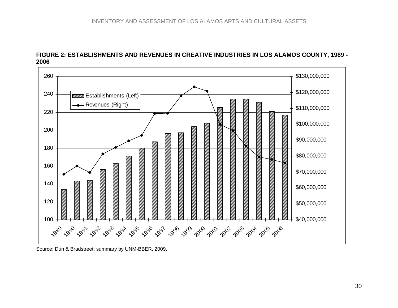

### **FIGURE 2: ESTABLISHMENTS AND REVENUES IN CREATIVE INDUSTRIES IN LOS ALAMOS COUNTY, 1989 - 2006**

<span id="page-30-0"></span>Source: Dun & Bradstreet; summary by UNM-BBER, 2009.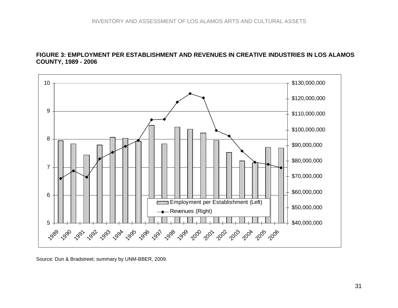### **FIGURE 3: EMPLOYMENT PER ESTABLISHMENT AND REVENUES IN CREATIVE INDUSTRIES IN LOS ALAMOS COUNTY, 1989 - 2006**



<span id="page-31-0"></span>Source: Dun & Bradstreet; summary by UNM-BBER, 2009.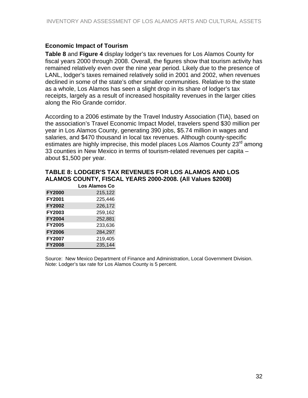### <span id="page-32-0"></span>**Economic Impact of Tourism**

**Table 8** and **Figure 4** display lodger's tax revenues for Los Alamos County for fiscal years 2000 through 2008. Overall, the figures show that tourism activity has remained relatively even over the nine year period. Likely due to the presence of LANL, lodger's taxes remained relatively solid in 2001 and 2002, when revenues declined in some of the state's other smaller communities. Relative to the state as a whole, Los Alamos has seen a slight drop in its share of lodger's tax receipts, largely as a result of increased hospitality revenues in the larger cities along the Rio Grande corridor.

According to a 2006 estimate by the Travel Industry Association (TIA), based on the association's Travel Economic Impact Model, travelers spend \$30 million per year in Los Alamos County, generating 390 jobs, \$5.74 million in wages and salaries, and \$470 thousand in local tax revenues. Although county-specific estimates are highly imprecise, this model places Los Alamos County 23<sup>rd</sup> among 33 counties in New Mexico in terms of tourism-related revenues per capita – about \$1,500 per year.

| <b>TABLE 8: LODGER'S TAX REVENUES FOR LOS ALAMOS AND LOS</b> |  |  |  |  |  |
|--------------------------------------------------------------|--|--|--|--|--|
| ALAMOS COUNTY, FISCAL YEARS 2000-2008. (All Values \$2008)   |  |  |  |  |  |
|                                                              |  |  |  |  |  |

|               | Los Alamos Co |
|---------------|---------------|
| <b>FY2000</b> | 215,122       |
| <b>FY2001</b> | 225,446       |
| <b>FY2002</b> | 226,172       |
| <b>FY2003</b> | 259,162       |
| <b>FY2004</b> | 252,881       |
| <b>FY2005</b> | 233,636       |
| <b>FY2006</b> | 284,297       |
| <b>FY2007</b> | 219,405       |
| <b>FY2008</b> | 235,144       |

Source: New Mexico Department of Finance and Administration, Local Government Division. Note: Lodger's tax rate for Los Alamos County is 5 percent.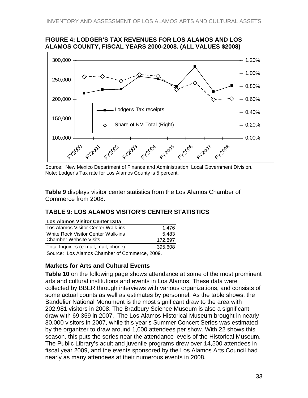### <span id="page-33-0"></span>**FIGURE 4: LODGER'S TAX REVENUES FOR LOS ALAMOS AND LOS ALAMOS COUNTY, FISCAL YEARS 2000-2008. (ALL VALUES \$2008)**



Source: New Mexico Department of Finance and Administration, Local Government Division. Note: Lodger's Tax rate for Los Alamos County is 5 percent.

**Table 9** displays visitor center statistics from the Los Alamos Chamber of Commerce from 2008.

# **TABLE 9: LOS ALAMOS VISITOR'S CENTER STATISTICS**

| <b>Los Alamos Visitor Center Data</b> |         |
|---------------------------------------|---------|
| Los Alamos Visitor Center Walk-ins    | 1.476   |
| White Rock Visitor Center Walk-ins    | 5.483   |
| <b>Chamber Website Visits</b>         | 172,897 |
| Total Inquiries (e-mail, mail, phone) | 395,608 |
|                                       |         |

Source: Los Alamos Chamber of Commerce, 2009.

# **Markets for Arts and Cultural Events**

**Table 10** on the following page shows attendance at some of the most prominent arts and cultural institutions and events in Los Alamos. These data were collected by BBER through interviews with various organizations, and consists of some actual counts as well as estimates by personnel. As the table shows, the Bandelier National Monument is the most significant draw to the area with 202,981 visitors in 2008. The Bradbury Science Museum is also a significant draw with 69,359 in 2007. The Los Alamos Historical Museum brought in nearly 30,000 visitors in 2007, while this year's Summer Concert Series was estimated by the organizer to draw around 1,000 attendees per show. With 22 shows this season, this puts the series near the attendance levels of the Historical Museum. The Public Library's adult and juvenile programs drew over 14,500 attendees in fiscal year 2009, and the events sponsored by the Los Alamos Arts Council had nearly as many attendees at their numerous events in 2008.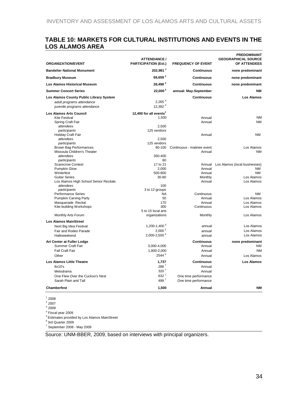### <span id="page-34-0"></span>**TABLE 10: MARKETS FOR CULTURAL INSTITUTIONS AND EVENTS IN THE LOS ALAMOS AREA**

| <b>ORGANIZATION/EVENT</b><br><b>Bandelier National Monument</b><br><b>Bradbury Museum</b><br><b>Los Alamos Historical Museum</b><br><b>Summer Concert Series</b><br>Los Alamos County Public Library System<br>adult programs attendance<br>juvenile programs attendance<br><b>Los Alamos Arts Council</b><br><b>Kite Festival</b><br>Spring Craft Fair |
|---------------------------------------------------------------------------------------------------------------------------------------------------------------------------------------------------------------------------------------------------------------------------------------------------------------------------------------------------------|
|                                                                                                                                                                                                                                                                                                                                                         |
|                                                                                                                                                                                                                                                                                                                                                         |
|                                                                                                                                                                                                                                                                                                                                                         |
|                                                                                                                                                                                                                                                                                                                                                         |
|                                                                                                                                                                                                                                                                                                                                                         |
|                                                                                                                                                                                                                                                                                                                                                         |
|                                                                                                                                                                                                                                                                                                                                                         |
|                                                                                                                                                                                                                                                                                                                                                         |
|                                                                                                                                                                                                                                                                                                                                                         |
|                                                                                                                                                                                                                                                                                                                                                         |
| attendees                                                                                                                                                                                                                                                                                                                                               |
| participants                                                                                                                                                                                                                                                                                                                                            |
| <b>Holiday Craft Fair</b>                                                                                                                                                                                                                                                                                                                               |
| attendees                                                                                                                                                                                                                                                                                                                                               |
| participants<br><b>Brown Bag Performances</b>                                                                                                                                                                                                                                                                                                           |
| Missoula Children's Theater                                                                                                                                                                                                                                                                                                                             |
| attendees                                                                                                                                                                                                                                                                                                                                               |
| participants                                                                                                                                                                                                                                                                                                                                            |
| <b>Scarecrow Contest</b>                                                                                                                                                                                                                                                                                                                                |
| Pumpkin Glow                                                                                                                                                                                                                                                                                                                                            |
| Winterfest                                                                                                                                                                                                                                                                                                                                              |
| <b>Guitar Series</b>                                                                                                                                                                                                                                                                                                                                    |
| Los Alamos High School Senior Recitals                                                                                                                                                                                                                                                                                                                  |
| attendees                                                                                                                                                                                                                                                                                                                                               |
| participants<br><b>Performance Series</b>                                                                                                                                                                                                                                                                                                               |
| Pumpkin Carving Party                                                                                                                                                                                                                                                                                                                                   |
| Masquerade Recital                                                                                                                                                                                                                                                                                                                                      |
| Kite-building Workshops                                                                                                                                                                                                                                                                                                                                 |
|                                                                                                                                                                                                                                                                                                                                                         |
| Monthly Arts Forum                                                                                                                                                                                                                                                                                                                                      |
| <b>Los Alamos MainStreet</b>                                                                                                                                                                                                                                                                                                                            |
| Next Big Idea Festival                                                                                                                                                                                                                                                                                                                                  |
| Fair and Rodeo Parade                                                                                                                                                                                                                                                                                                                                   |
| Halloweekend                                                                                                                                                                                                                                                                                                                                            |
| Art Center at Fuller Lodge                                                                                                                                                                                                                                                                                                                              |
| Summer Craft Fair                                                                                                                                                                                                                                                                                                                                       |
| <b>Fall Craft Fair</b>                                                                                                                                                                                                                                                                                                                                  |
| Other                                                                                                                                                                                                                                                                                                                                                   |
| <b>Los Alamos Little Theatre</b>                                                                                                                                                                                                                                                                                                                        |
| 8x10's                                                                                                                                                                                                                                                                                                                                                  |
| Melodrama                                                                                                                                                                                                                                                                                                                                               |
| One Flew Over the Cuckoo's Nest                                                                                                                                                                                                                                                                                                                         |
| Sarah Plain and Tall                                                                                                                                                                                                                                                                                                                                    |
| <b>Chamberfest</b>                                                                                                                                                                                                                                                                                                                                      |
|                                                                                                                                                                                                                                                                                                                                                         |

Source: UNM-BBER, 2009, based on interviews with principal organizers.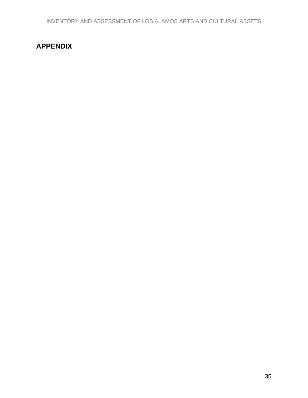# <span id="page-35-0"></span>**APPENDIX**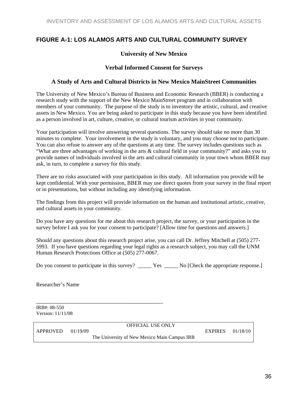# <span id="page-36-0"></span>**FIGURE A-1: LOS ALAMOS ARTS AND CULTURAL COMMUNITY SURVEY**

#### **University of New Mexico**

#### **Verbal Informed Consent for Surveys**

#### **A Study of Arts and Cultural Districts in New Mexico MainStreet Communities**

The University of New Mexico's Bureau of Business and Economic Research (BBER) is conducting a research study with the support of the New Mexico MainStreet program and in collaboration with members of your community. The purpose of the study is to inventory the artistic, cultural, and creative assets in New Mexico. You are being asked to participate in this study because you have been identified as a person involved in art, culture, creative, or cultural tourism activities in your community.

Your participation will involve answering several questions. The survey should take no more than 30 minutes to complete. Your involvement in the study is voluntary, and you may choose not to participate. You can also refuse to answer any of the questions at any time. The survey includes questions such as "What are three advantages of working in the arts & cultural field in your community?" and asks you to provide names of individuals involved in the arts and cultural community in your town whom BBER may ask, in turn, to complete a survey for this study.

There are no risks associated with your participation in this study. All information you provide will be kept confidential. With your permission, BBER may use direct quotes from your survey in the final report or in presentations, but without including any identifying information.

The findings from this project will provide information on the human and institutional artistic, creative, and cultural assets in your community.

Do you have any questions for me about this research project, the survey, or your participation in the survey before I ask you for your consent to participate? [Allow time for questions and answers.]

Should any questions about this research project arise, you can call Dr. Jeffrey Mitchell at (505) 277- 5993. If you have questions regarding your legal rights as a research subject, you may call the UNM Human Research Protections Office at (505) 277-0067.

Do you consent to participate in this survey? \_\_\_\_\_ Yes \_\_\_\_\_ No [Check the appropriate response.]

Researcher's Name

\_\_\_\_\_\_\_\_\_\_\_\_\_\_\_\_\_\_\_\_\_\_\_\_\_\_\_\_\_\_\_\_\_\_\_\_\_\_\_\_\_\_ IRB#: 08-550 Version: 11/11/08

|                       | <b>OFFICIAL USE ONLY</b>                     |                  |  |
|-----------------------|----------------------------------------------|------------------|--|
| $APPROVED \t01/19/09$ |                                              | EXPIRES 01/18/10 |  |
|                       | The University of New Mexico Main Campus IRB |                  |  |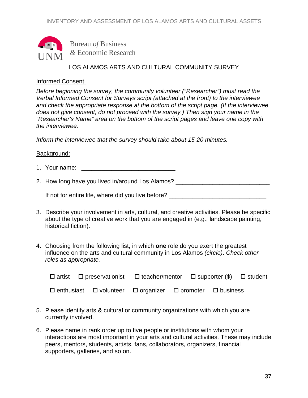

Bureau *of* Business *&* Economic Research

# LOS ALAMOS ARTS AND CULTURAL COMMUNITY SURVEY

### Informed Consent

*Before beginning the survey, the community volunteer ("Researcher") must read the Verbal Informed Consent for Surveys script (attached at the front) to the interviewee and check the appropriate response at the bottom of the script page. (If the interviewee does not give consent, do not proceed with the survey.) Then sign your name in the "Researcher's Name" area on the bottom of the script pages and leave one copy with the interviewee.* 

*Inform the interviewee that the survey should take about 15-20 minutes.*

### Background:

- 1. Your name:  $\blacksquare$
- 2. How long have you lived in/around Los Alamos? \_\_\_\_\_\_\_\_\_\_\_\_\_\_\_\_\_\_\_\_\_\_\_\_\_\_\_\_\_\_\_

If not for entire life, where did you live before? \_\_\_\_\_\_\_\_\_\_\_\_\_\_\_\_\_\_\_\_\_\_\_\_\_\_\_\_\_\_

- 3. Describe your involvement in arts, cultural, and creative activities. Please be specific about the type of creative work that you are engaged in (e.g., landscape painting, historical fiction).
- 4. Choosing from the following list, in which **one** role do you exert the greatest influence on the arts and cultural community in Los Alamos *(circle)*. *Check other roles as appropriate.*

|  |  | $\Box$ artist $\Box$ preservationist $\Box$ teacher/mentor $\Box$ supporter (\$) $\Box$ student |  |  |
|--|--|-------------------------------------------------------------------------------------------------|--|--|
|  |  | $\Box$ enthusiast $\Box$ volunteer $\Box$ organizer $\Box$ promoter $\Box$ business             |  |  |

- 5. Please identify arts & cultural or community organizations with which you are currently involved.
- 6. Please name in rank order up to five people or institutions with whom your interactions are most important in your arts and cultural activities. These may include peers, mentors, students, artists, fans, collaborators, organizers, financial supporters, galleries, and so on.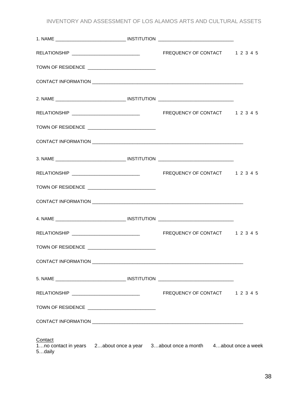INVENTORY AND ASSESSMENT OF LOS ALAMOS ARTS AND CULTURAL ASSETS

|                   | TOWN OF RESIDENCE ____________________________   |                                                                                |  |
|-------------------|--------------------------------------------------|--------------------------------------------------------------------------------|--|
|                   |                                                  |                                                                                |  |
|                   |                                                  |                                                                                |  |
|                   |                                                  |                                                                                |  |
|                   | TOWN OF RESIDENCE ____________________________   |                                                                                |  |
|                   |                                                  |                                                                                |  |
|                   |                                                  |                                                                                |  |
|                   |                                                  |                                                                                |  |
|                   | TOWN OF RESIDENCE ___________________________    |                                                                                |  |
|                   |                                                  |                                                                                |  |
|                   |                                                  |                                                                                |  |
|                   |                                                  |                                                                                |  |
|                   | TOWN OF RESIDENCE ______________________________ |                                                                                |  |
|                   |                                                  |                                                                                |  |
|                   |                                                  |                                                                                |  |
|                   |                                                  | FREQUENCY OF CONTACT 1 2 3 4 5                                                 |  |
|                   | TOWN OF RESIDENCE ____________________________   |                                                                                |  |
|                   |                                                  |                                                                                |  |
| Contact<br>5daily |                                                  | 1no contact in years 2about once a year 3about once a month 4about once a week |  |